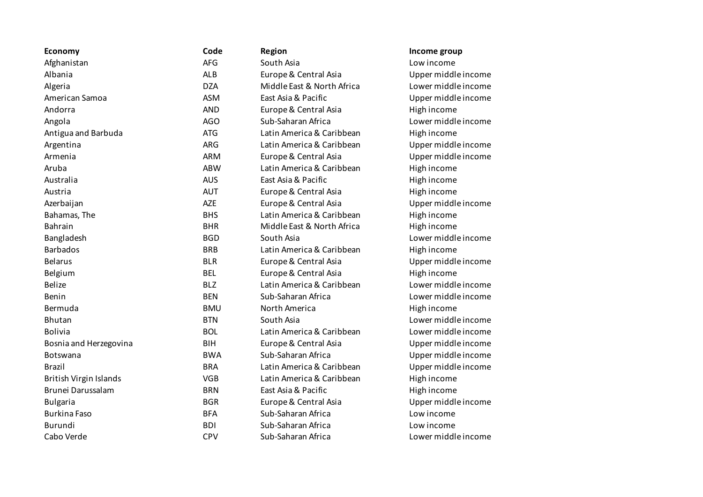| Economy                       | Code       | <b>Region</b>              | Income group        |
|-------------------------------|------------|----------------------------|---------------------|
| Afghanistan                   | AFG        | South Asia                 | Low income          |
| Albania                       | <b>ALB</b> | Europe & Central Asia      | Upper middle income |
| Algeria                       | <b>DZA</b> | Middle East & North Africa | Lower middle income |
| American Samoa                | <b>ASM</b> | East Asia & Pacific        | Upper middle income |
| Andorra                       | <b>AND</b> | Europe & Central Asia      | High income         |
| Angola                        | <b>AGO</b> | Sub-Saharan Africa         | Lower middle income |
| Antigua and Barbuda           | <b>ATG</b> | Latin America & Caribbean  | High income         |
| Argentina                     | <b>ARG</b> | Latin America & Caribbean  | Upper middle income |
| Armenia                       | <b>ARM</b> | Europe & Central Asia      | Upper middle income |
| Aruba                         | <b>ABW</b> | Latin America & Caribbean  | High income         |
| Australia                     | <b>AUS</b> | East Asia & Pacific        | High income         |
| Austria                       | <b>AUT</b> | Europe & Central Asia      | High income         |
| Azerbaijan                    | <b>AZE</b> | Europe & Central Asia      | Upper middle income |
| Bahamas, The                  | <b>BHS</b> | Latin America & Caribbean  | High income         |
| Bahrain                       | <b>BHR</b> | Middle East & North Africa | High income         |
| Bangladesh                    | <b>BGD</b> | South Asia                 | Lower middle income |
| <b>Barbados</b>               | <b>BRB</b> | Latin America & Caribbean  | High income         |
| <b>Belarus</b>                | <b>BLR</b> | Europe & Central Asia      | Upper middle income |
| Belgium                       | <b>BEL</b> | Europe & Central Asia      | High income         |
| <b>Belize</b>                 | <b>BLZ</b> | Latin America & Caribbean  | Lower middle income |
| Benin                         | <b>BEN</b> | Sub-Saharan Africa         | Lower middle income |
| Bermuda                       | <b>BMU</b> | North America              | High income         |
| Bhutan                        | <b>BTN</b> | South Asia                 | Lower middle income |
| <b>Bolivia</b>                | <b>BOL</b> | Latin America & Caribbean  | Lower middle income |
| Bosnia and Herzegovina        | <b>BIH</b> | Europe & Central Asia      | Upper middle income |
| Botswana                      | <b>BWA</b> | Sub-Saharan Africa         | Upper middle income |
| <b>Brazil</b>                 | <b>BRA</b> | Latin America & Caribbean  | Upper middle income |
| <b>British Virgin Islands</b> | <b>VGB</b> | Latin America & Caribbean  | High income         |
| Brunei Darussalam             | <b>BRN</b> | East Asia & Pacific        | High income         |
| <b>Bulgaria</b>               | <b>BGR</b> | Europe & Central Asia      | Upper middle income |
| <b>Burkina Faso</b>           | <b>BFA</b> | Sub-Saharan Africa         | Low income          |
| Burundi                       | <b>BDI</b> | Sub-Saharan Africa         | Low income          |
| Cabo Verde                    | <b>CPV</b> | Sub-Saharan Africa         | Lower middle income |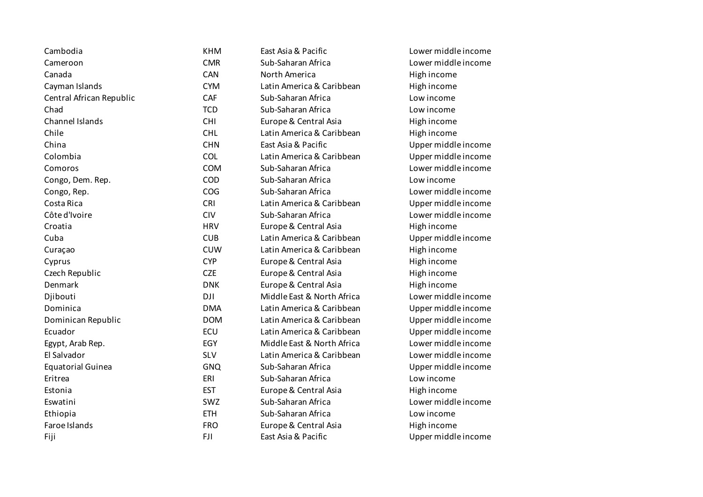| Cambodia                 | <b>KHM</b> | East Asia & Pacific        | Lower middle income |
|--------------------------|------------|----------------------------|---------------------|
| Cameroon                 | <b>CMR</b> | Sub-Saharan Africa         | Lower middle income |
| Canada                   | <b>CAN</b> | North America              | High income         |
| Cayman Islands           | <b>CYM</b> | Latin America & Caribbean  | High income         |
| Central African Republic | CAF        | Sub-Saharan Africa         | Low income          |
| Chad                     | <b>TCD</b> | Sub-Saharan Africa         | Low income          |
| Channel Islands          | <b>CHI</b> | Europe & Central Asia      | High income         |
| Chile                    | <b>CHL</b> | Latin America & Caribbean  | High income         |
| China                    | <b>CHN</b> | East Asia & Pacific        | Upper middle income |
| Colombia                 | COL        | Latin America & Caribbean  | Upper middle income |
| Comoros                  | <b>COM</b> | Sub-Saharan Africa         | Lower middle income |
| Congo, Dem. Rep.         | COD        | Sub-Saharan Africa         | Low income          |
| Congo, Rep.              | COG        | Sub-Saharan Africa         | Lower middle income |
| Costa Rica               | <b>CRI</b> | Latin America & Caribbean  | Upper middle income |
| Côte d'Ivoire            | <b>CIV</b> | Sub-Saharan Africa         | Lower middle income |
| Croatia                  | <b>HRV</b> | Europe & Central Asia      | High income         |
| Cuba                     | <b>CUB</b> | Latin America & Caribbean  | Upper middle income |
| Curaçao                  | <b>CUW</b> | Latin America & Caribbean  | High income         |
| Cyprus                   | <b>CYP</b> | Europe & Central Asia      | High income         |
| Czech Republic           | <b>CZE</b> | Europe & Central Asia      | High income         |
| Denmark                  | <b>DNK</b> | Europe & Central Asia      | High income         |
| Djibouti                 | DJI        | Middle East & North Africa | Lower middle income |
| Dominica                 | <b>DMA</b> | Latin America & Caribbean  | Upper middle income |
| Dominican Republic       | <b>DOM</b> | Latin America & Caribbean  | Upper middle income |
| Ecuador                  | ECU        | Latin America & Caribbean  | Upper middle income |
| Egypt, Arab Rep.         | EGY        | Middle East & North Africa | Lower middle income |
| El Salvador              | <b>SLV</b> | Latin America & Caribbean  | Lower middle income |
| <b>Equatorial Guinea</b> | <b>GNQ</b> | Sub-Saharan Africa         | Upper middle income |
| Eritrea                  | ERI        | Sub-Saharan Africa         | Low income          |
| Estonia                  | <b>EST</b> | Europe & Central Asia      | High income         |
| Eswatini                 | SWZ        | Sub-Saharan Africa         | Lower middle income |
| Ethiopia                 | <b>ETH</b> | Sub-Saharan Africa         | Low income          |
| Faroe Islands            | <b>FRO</b> | Europe & Central Asia      | High income         |
| Fiji                     | <b>FJI</b> | East Asia & Pacific        | Upper middle income |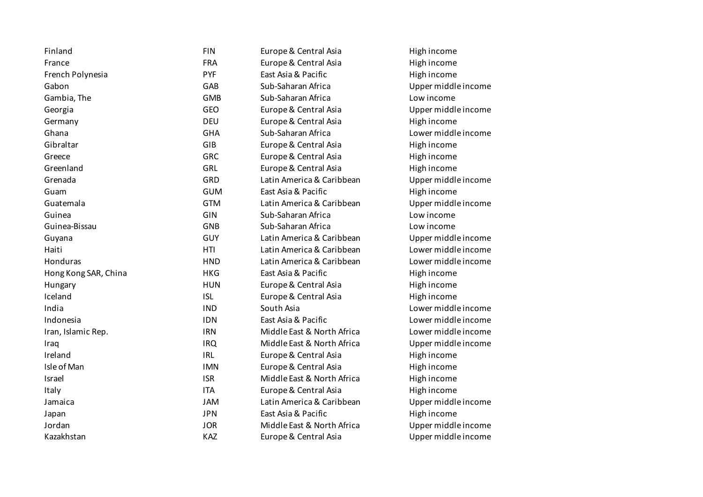| Finland              | <b>FIN</b> | Europe & Central Asia      | High income         |
|----------------------|------------|----------------------------|---------------------|
| France               | <b>FRA</b> | Europe & Central Asia      | High income         |
| French Polynesia     | <b>PYF</b> | East Asia & Pacific        | High income         |
| Gabon                | GAB        | Sub-Saharan Africa         | Upper middle income |
| Gambia, The          | <b>GMB</b> | Sub-Saharan Africa         | Low income          |
| Georgia              | GEO        | Europe & Central Asia      | Upper middle income |
| Germany              | <b>DEU</b> | Europe & Central Asia      | High income         |
| Ghana                | <b>GHA</b> | Sub-Saharan Africa         | Lower middle income |
| Gibraltar            | GIB        | Europe & Central Asia      | High income         |
| Greece               | <b>GRC</b> | Europe & Central Asia      | High income         |
| Greenland            | GRL        | Europe & Central Asia      | High income         |
| Grenada              | GRD        | Latin America & Caribbean  | Upper middle income |
| Guam                 | <b>GUM</b> | East Asia & Pacific        | High income         |
| Guatemala            | <b>GTM</b> | Latin America & Caribbean  | Upper middle income |
| Guinea               | GIN        | Sub-Saharan Africa         | Low income          |
| Guinea-Bissau        | GNB        | Sub-Saharan Africa         | Low income          |
| Guyana               | <b>GUY</b> | Latin America & Caribbean  | Upper middle income |
| Haiti                | <b>HTI</b> | Latin America & Caribbean  | Lower middle income |
| Honduras             | <b>HND</b> | Latin America & Caribbean  | Lower middle income |
| Hong Kong SAR, China | <b>HKG</b> | East Asia & Pacific        | High income         |
| Hungary              | <b>HUN</b> | Europe & Central Asia      | High income         |
| Iceland              | <b>ISL</b> | Europe & Central Asia      | High income         |
| India                | <b>IND</b> | South Asia                 | Lower middle income |
| Indonesia            | <b>IDN</b> | East Asia & Pacific        | Lower middle income |
| Iran, Islamic Rep.   | <b>IRN</b> | Middle East & North Africa | Lower middle income |
| Iraq                 | <b>IRQ</b> | Middle East & North Africa | Upper middle income |
| Ireland              | <b>IRL</b> | Europe & Central Asia      | High income         |
| Isle of Man          | <b>IMN</b> | Europe & Central Asia      | High income         |
| Israel               | <b>ISR</b> | Middle East & North Africa | High income         |
| Italy                | <b>ITA</b> | Europe & Central Asia      | High income         |
| Jamaica              | <b>JAM</b> | Latin America & Caribbean  | Upper middle income |
| Japan                | <b>JPN</b> | East Asia & Pacific        | High income         |
| Jordan               | <b>JOR</b> | Middle East & North Africa | Upper middle income |
| Kazakhstan           | KAZ        | Europe & Central Asia      | Upper middle income |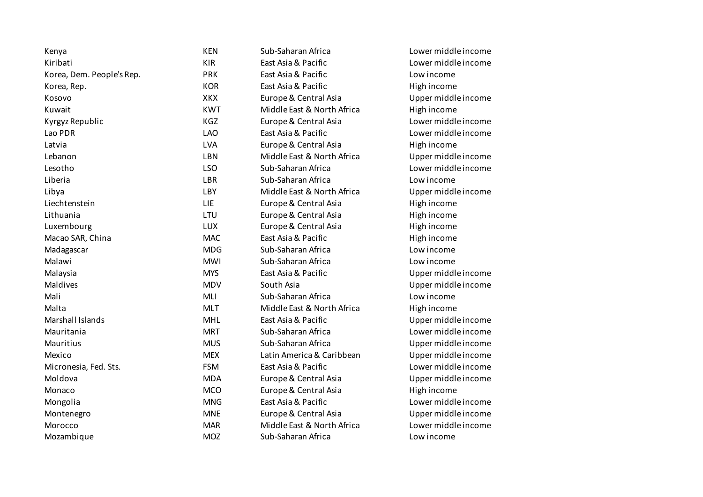| Kenya                     | <b>KEN</b> | Sub-Saharan Africa         | Lower middle income |
|---------------------------|------------|----------------------------|---------------------|
| Kiribati                  | <b>KIR</b> | East Asia & Pacific        | Lower middle income |
| Korea, Dem. People's Rep. | <b>PRK</b> | East Asia & Pacific        | Low income          |
| Korea, Rep.               | <b>KOR</b> | East Asia & Pacific        | High income         |
| Kosovo                    | XKX        | Europe & Central Asia      | Upper middle income |
| Kuwait                    | <b>KWT</b> | Middle East & North Africa | High income         |
| Kyrgyz Republic           | KGZ        | Europe & Central Asia      | Lower middle income |
| Lao PDR                   | <b>LAO</b> | East Asia & Pacific        | Lower middle income |
| Latvia                    | LVA        | Europe & Central Asia      | High income         |
| Lebanon                   | LBN        | Middle East & North Africa | Upper middle income |
| Lesotho                   | <b>LSO</b> | Sub-Saharan Africa         | Lower middle income |
| Liberia                   | <b>LBR</b> | Sub-Saharan Africa         | Low income          |
| Libya                     | LBY        | Middle East & North Africa | Upper middle income |
| Liechtenstein             | <b>LIE</b> | Europe & Central Asia      | High income         |
| Lithuania                 | LTU        | Europe & Central Asia      | High income         |
| Luxembourg                | LUX        | Europe & Central Asia      | High income         |
| Macao SAR, China          | <b>MAC</b> | East Asia & Pacific        | High income         |
| Madagascar                | <b>MDG</b> | Sub-Saharan Africa         | Low income          |
| Malawi                    | <b>MWI</b> | Sub-Saharan Africa         | Low income          |
| Malaysia                  | <b>MYS</b> | East Asia & Pacific        | Upper middle income |
| Maldives                  | <b>MDV</b> | South Asia                 | Upper middle income |
| Mali                      | MLI        | Sub-Saharan Africa         | Low income          |
| Malta                     | <b>MLT</b> | Middle East & North Africa | High income         |
| Marshall Islands          | <b>MHL</b> | East Asia & Pacific        | Upper middle income |
| Mauritania                | <b>MRT</b> | Sub-Saharan Africa         | Lower middle income |
| Mauritius                 | <b>MUS</b> | Sub-Saharan Africa         | Upper middle income |
| Mexico                    | <b>MEX</b> | Latin America & Caribbean  | Upper middle income |
| Micronesia, Fed. Sts.     | <b>FSM</b> | East Asia & Pacific        | Lower middle income |
| Moldova                   | <b>MDA</b> | Europe & Central Asia      | Upper middle income |
| Monaco                    | <b>MCO</b> | Europe & Central Asia      | High income         |
| Mongolia                  | <b>MNG</b> | East Asia & Pacific        | Lower middle income |
| Montenegro                | <b>MNE</b> | Europe & Central Asia      | Upper middle income |
| Morocco                   | <b>MAR</b> | Middle East & North Africa | Lower middle income |
| Mozambique                | <b>MOZ</b> | Sub-Saharan Africa         | Low income          |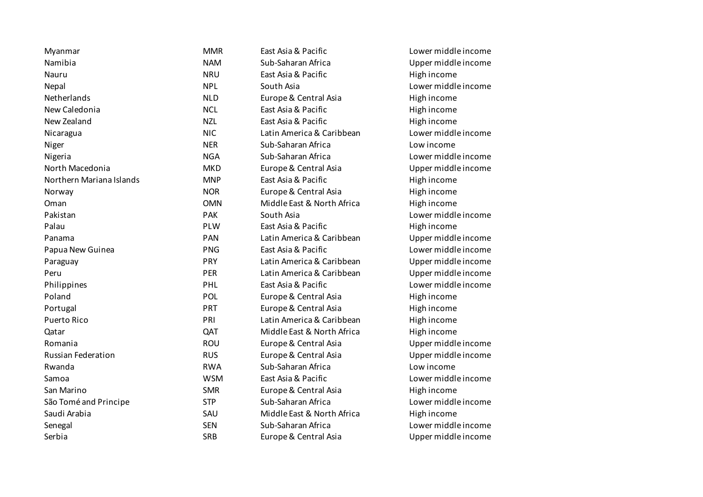| Myanmar                   | <b>MMR</b> | East Asia & Pacific        | Lower middle income |
|---------------------------|------------|----------------------------|---------------------|
| Namibia                   | <b>NAM</b> | Sub-Saharan Africa         | Upper middle income |
| Nauru                     | <b>NRU</b> | East Asia & Pacific        | High income         |
| Nepal                     | <b>NPL</b> | South Asia                 | Lower middle income |
| Netherlands               | <b>NLD</b> | Europe & Central Asia      | High income         |
| New Caledonia             | <b>NCL</b> | East Asia & Pacific        | High income         |
| New Zealand               | <b>NZL</b> | East Asia & Pacific        | High income         |
| Nicaragua                 | <b>NIC</b> | Latin America & Caribbean  | Lower middle income |
| Niger                     | <b>NER</b> | Sub-Saharan Africa         | Low income          |
| Nigeria                   | <b>NGA</b> | Sub-Saharan Africa         | Lower middle income |
| North Macedonia           | <b>MKD</b> | Europe & Central Asia      | Upper middle income |
| Northern Mariana Islands  | <b>MNP</b> | East Asia & Pacific        | High income         |
| Norway                    | <b>NOR</b> | Europe & Central Asia      | High income         |
| Oman                      | <b>OMN</b> | Middle East & North Africa | High income         |
| Pakistan                  | PAK        | South Asia                 | Lower middle income |
| Palau                     | PLW        | East Asia & Pacific        | High income         |
| Panama                    | PAN        | Latin America & Caribbean  | Upper middle income |
| Papua New Guinea          | <b>PNG</b> | East Asia & Pacific        | Lower middle income |
| Paraguay                  | <b>PRY</b> | Latin America & Caribbean  | Upper middle income |
| Peru                      | PER        | Latin America & Caribbean  | Upper middle income |
| Philippines               | PHL        | East Asia & Pacific        | Lower middle income |
| Poland                    | POL        | Europe & Central Asia      | High income         |
| Portugal                  | PRT        | Europe & Central Asia      | High income         |
| <b>Puerto Rico</b>        | PRI        | Latin America & Caribbean  | High income         |
| Qatar                     | QAT        | Middle East & North Africa | High income         |
| Romania                   | <b>ROU</b> | Europe & Central Asia      | Upper middle income |
| <b>Russian Federation</b> | <b>RUS</b> | Europe & Central Asia      | Upper middle income |
| Rwanda                    | <b>RWA</b> | Sub-Saharan Africa         | Low income          |
| Samoa                     | <b>WSM</b> | East Asia & Pacific        | Lower middle income |
| San Marino                | <b>SMR</b> | Europe & Central Asia      | High income         |
| São Tomé and Principe     | <b>STP</b> | Sub-Saharan Africa         | Lower middle income |
| Saudi Arabia              | SAU        | Middle East & North Africa | High income         |
| Senegal                   | <b>SEN</b> | Sub-Saharan Africa         | Lower middle income |
| Serbia                    | <b>SRB</b> | Europe & Central Asia      | Upper middle income |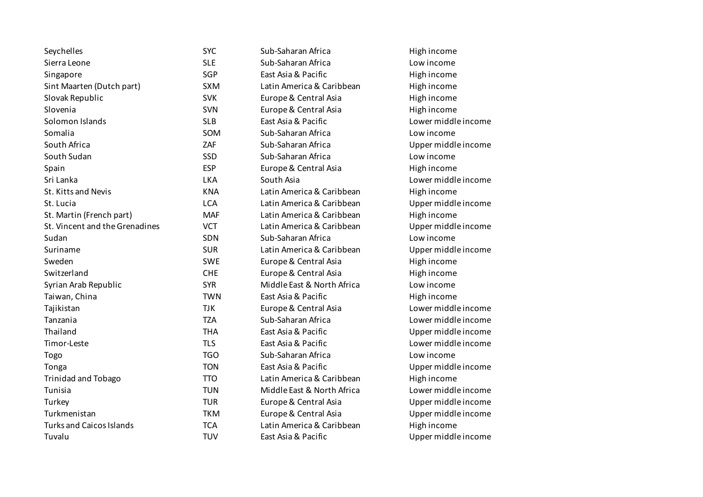| Seychelles                      | <b>SYC</b> | Sub-Saharan Africa         | High income         |
|---------------------------------|------------|----------------------------|---------------------|
| Sierra Leone                    | <b>SLE</b> | Sub-Saharan Africa         | Low income          |
| Singapore                       | SGP        | East Asia & Pacific        | High income         |
| Sint Maarten (Dutch part)       | <b>SXM</b> | Latin America & Caribbean  | High income         |
| Slovak Republic                 | <b>SVK</b> | Europe & Central Asia      | High income         |
| Slovenia                        | SVN        | Europe & Central Asia      | High income         |
| Solomon Islands                 | <b>SLB</b> | East Asia & Pacific        | Lower middle income |
| Somalia                         | SOM        | Sub-Saharan Africa         | Low income          |
| South Africa                    | ZAF        | Sub-Saharan Africa         | Upper middle income |
| South Sudan                     | SSD        | Sub-Saharan Africa         | Low income          |
| Spain                           | <b>ESP</b> | Europe & Central Asia      | High income         |
| Sri Lanka                       | <b>LKA</b> | South Asia                 | Lower middle income |
| St. Kitts and Nevis             | <b>KNA</b> | Latin America & Caribbean  | High income         |
| St. Lucia                       | <b>LCA</b> | Latin America & Caribbean  | Upper middle income |
| St. Martin (French part)        | <b>MAF</b> | Latin America & Caribbean  | High income         |
| St. Vincent and the Grenadines  | <b>VCT</b> | Latin America & Caribbean  | Upper middle income |
| Sudan                           | SDN        | Sub-Saharan Africa         | Low income          |
| Suriname                        | <b>SUR</b> | Latin America & Caribbean  | Upper middle income |
| Sweden                          | <b>SWE</b> | Europe & Central Asia      | High income         |
| Switzerland                     | <b>CHE</b> | Europe & Central Asia      | High income         |
| Syrian Arab Republic            | <b>SYR</b> | Middle East & North Africa | Low income          |
| Taiwan, China                   | <b>TWN</b> | East Asia & Pacific        | High income         |
| Tajikistan                      | <b>TJK</b> | Europe & Central Asia      | Lower middle income |
| Tanzania                        | <b>TZA</b> | Sub-Saharan Africa         | Lower middle income |
| Thailand                        | <b>THA</b> | East Asia & Pacific        | Upper middle income |
| Timor-Leste                     | <b>TLS</b> | East Asia & Pacific        | Lower middle income |
| Togo                            | <b>TGO</b> | Sub-Saharan Africa         | Low income          |
| Tonga                           | <b>TON</b> | East Asia & Pacific        | Upper middle income |
| <b>Trinidad and Tobago</b>      | <b>TTO</b> | Latin America & Caribbean  | High income         |
| Tunisia                         | <b>TUN</b> | Middle East & North Africa | Lower middle income |
| Turkey                          | <b>TUR</b> | Europe & Central Asia      | Upper middle income |
| Turkmenistan                    | <b>TKM</b> | Europe & Central Asia      | Upper middle income |
| <b>Turks and Caicos Islands</b> | <b>TCA</b> | Latin America & Caribbean  | High income         |
| Tuvalu                          | <b>TUV</b> | East Asia & Pacific        | Upper middle income |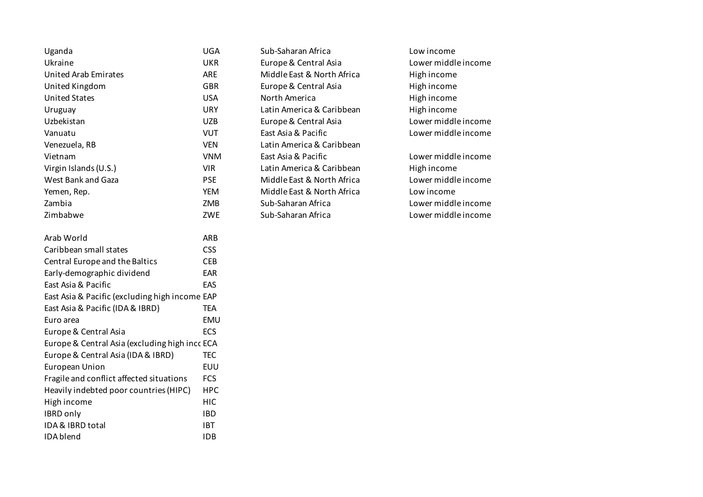| Uganda                                         | UGA        |
|------------------------------------------------|------------|
| Ukraine                                        | <b>UKR</b> |
| <b>United Arab Emirates</b>                    | <b>ARE</b> |
| United Kingdom                                 | <b>GBR</b> |
| <b>United States</b>                           | <b>USA</b> |
| Uruguay                                        | <b>URY</b> |
| Uzbekistan                                     | <b>UZB</b> |
| Vanuatu                                        | <b>VUT</b> |
| Venezuela, RB                                  | <b>VEN</b> |
| Vietnam                                        | <b>VNM</b> |
| Virgin Islands (U.S.)                          | <b>VIR</b> |
| West Bank and Gaza                             | <b>PSE</b> |
| Yemen, Rep.                                    | <b>YEM</b> |
| Zambia                                         | ZMB        |
| Zimbabwe                                       | ZWE        |
|                                                |            |
| Arab World                                     | <b>ARB</b> |
| Caribbean small states                         | <b>CSS</b> |
| Central Europe and the Baltics                 | <b>CEB</b> |
| Early-demographic dividend                     | EAR        |
| East Asia & Pacific                            | EAS        |
| East Asia & Pacific (excluding high income EAP |            |
| East Asia & Pacific (IDA & IBRD)               | <b>TEA</b> |
| Euro area                                      | EMU        |
| Europe & Central Asia                          | <b>ECS</b> |
| Europe & Central Asia (excluding high incc ECA |            |
| Europe & Central Asia (IDA & IBRD)             | <b>TEC</b> |
| <b>European Union</b>                          | <b>EUU</b> |
| Fragile and conflict affected situations       | <b>FCS</b> |
| Heavily indebted poor countries (HIPC)         | HPC        |
| High income                                    | <b>HIC</b> |
| <b>IBRD only</b>                               | <b>IBD</b> |
| IDA & IBRD total                               | <b>IBT</b> |
| IDA blend                                      | <b>IDB</b> |

Sub-Saharan Africa Low income Europe & Central Asia Lower middle income Middle East & North Africa High income Europe & Central Asia **High income** North America **North America** High income Latin America & Caribbean High income Europe & Central Asia Lower middle income East Asia & Pacific **Lower middle income** Latin America & Caribbean East Asia & Pacific Lower middle income Latin America & Caribbean High income Middle East & North Africa Lower middle income Middle East & North Africa Low income Sub-Saharan Africa **Lower middle income** Sub-Saharan Africa Lower middle income